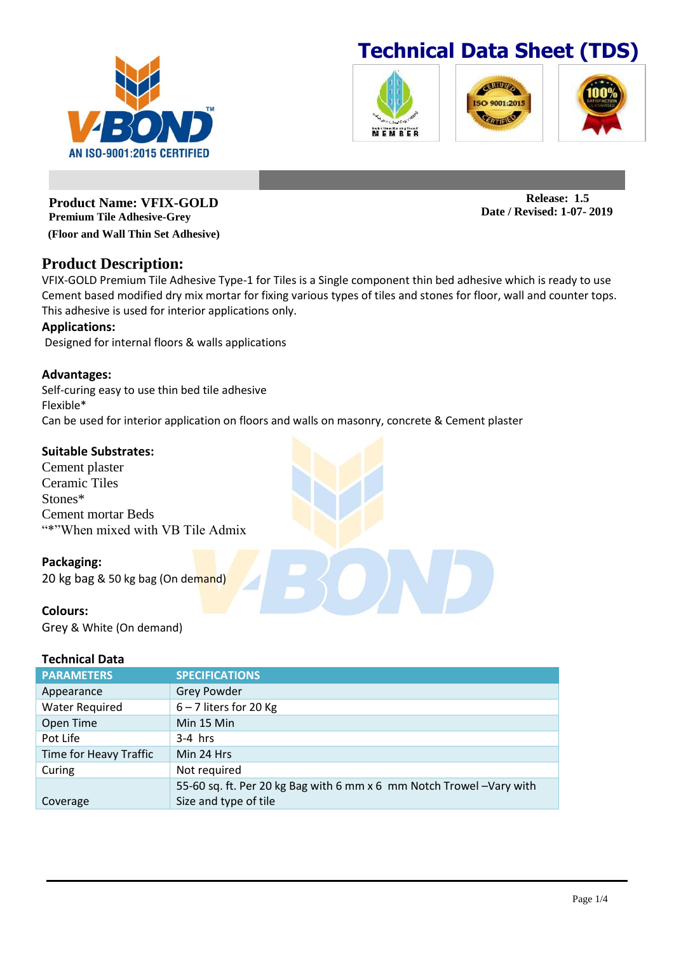







**Release: 1.5 Date / Revised: 1-07- 2019**

**Product Name: VFIX-GOLD Premium Tile Adhesive-Grey (Floor and Wall Thin Set Adhesive)**

## **Product Description:**

VFIX-GOLD Premium Tile Adhesive Type-1 for Tiles is a Single component thin bed adhesive which is ready to use Cement based modified dry mix mortar for fixing various types of tiles and stones for floor, wall and counter tops. This adhesive is used for interior applications only.

## **Applications:**

Designed for internal floors & walls applications

## **Advantages:**

Self-curing easy to use thin bed tile adhesive Flexible\* Can be used for interior application on floors and walls on masonry, concrete & Cement plaster

## **Suitable Substrates:**

Cement plaster Ceramic Tiles Stones\* Cement mortar Beds "\*"When mixed with VB Tile Admix

## **Packaging:**

20 kg bag & 50 kg bag (On demand)

## **Colours:**

Grey & White (On demand)

#### **Technical Data**

| <b>PARAMETERS</b>      | <b>SPECIFICATIONS</b>                                                |
|------------------------|----------------------------------------------------------------------|
| Appearance             | <b>Grey Powder</b>                                                   |
| <b>Water Required</b>  | $6 - 7$ liters for 20 Kg                                             |
| Open Time              | Min 15 Min                                                           |
| Pot Life               | $3-4$ hrs                                                            |
| Time for Heavy Traffic | Min 24 Hrs                                                           |
| Curing                 | Not required                                                         |
|                        | 55-60 sq. ft. Per 20 kg Bag with 6 mm x 6 mm Notch Trowel -Vary with |
| Coverage               | Size and type of tile                                                |

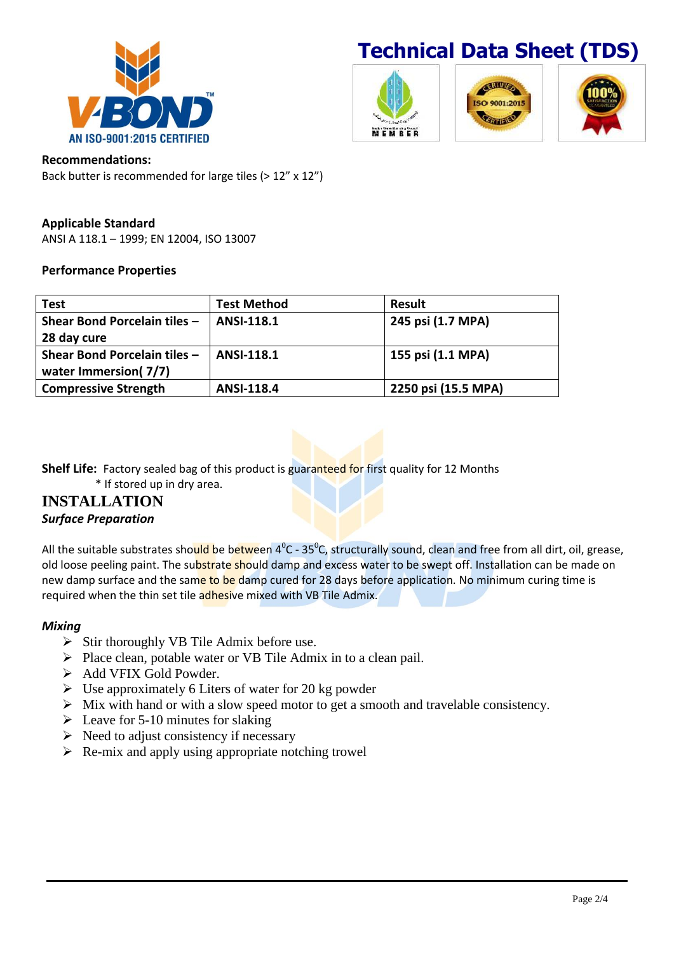



#### **Recommendations:**

Back butter is recommended for large tiles (> 12" x 12")

### **Applicable Standard**

ANSI A 118.1 – 1999; EN 12004, ISO 13007

#### **Performance Properties**

| <b>Test</b>                  | <b>Test Method</b> | <b>Result</b>       |
|------------------------------|--------------------|---------------------|
| Shear Bond Porcelain tiles - | ANSI-118.1         | 245 psi (1.7 MPA)   |
| 28 day cure                  |                    |                     |
| Shear Bond Porcelain tiles - | ANSI-118.1         | 155 psi (1.1 MPA)   |
| water Immersion(7/7)         |                    |                     |
| <b>Compressive Strength</b>  | <b>ANSI-118.4</b>  | 2250 psi (15.5 MPA) |

**Shelf Life:** Factory sealed bag of this product is guaranteed for first quality for 12 Months

\* If stored up in dry area.

## **INSTALLATION** *Surface Preparation*

All the suitable substrates sho<mark>uld be between 4<sup>°</sup>C - 35<sup>°</sup>C, structurally sound, clean and free from all dirt, oil, grease,</mark> old loose peeling paint. The substrate should damp and excess water to be swept off. Installation can be made on new damp surface and the same to be damp cured for 28 days before application. No minimum curing time is required when the thin set tile adhesive mixed with VB Tile Admix.

#### *Mixing*

- $\triangleright$  Stir thoroughly VB Tile Admix before use.
- $\triangleright$  Place clean, potable water or VB Tile Admix in to a clean pail.
- > Add VFIX Gold Powder.
- $\triangleright$  Use approximately 6 Liters of water for 20 kg powder
- $\triangleright$  Mix with hand or with a slow speed motor to get a smooth and travelable consistency.
- $\geq$  Leave for 5-10 minutes for slaking
- $\triangleright$  Need to adjust consistency if necessary
- $\triangleright$  Re-mix and apply using appropriate notching trowel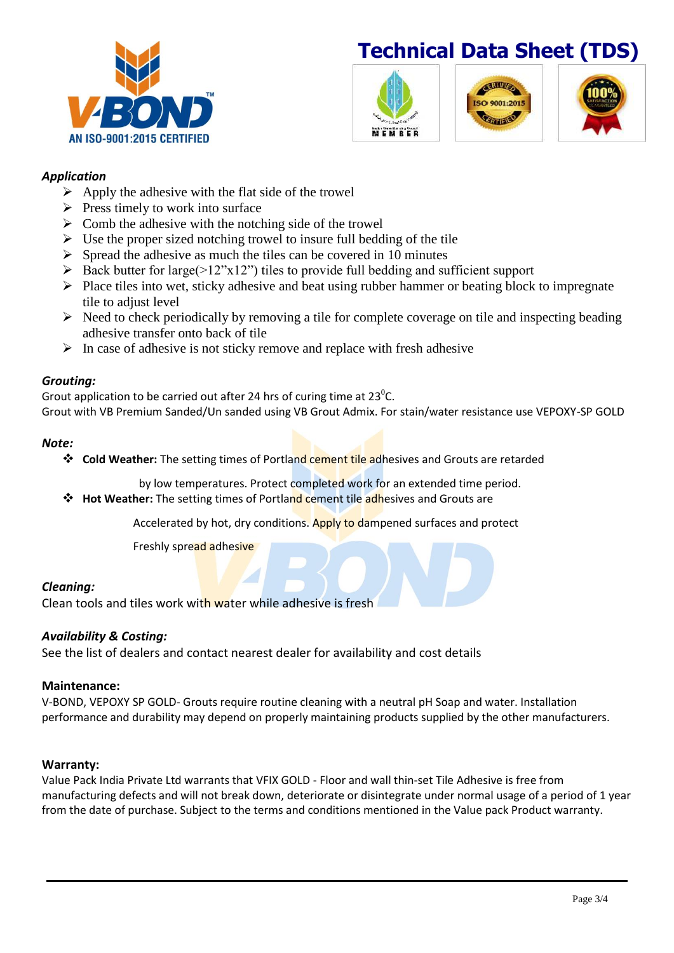



## *Application*

- $\triangleright$  Apply the adhesive with the flat side of the trowel
- $\triangleright$  Press timely to work into surface
- $\triangleright$  Comb the adhesive with the notching side of the trowel
- $\triangleright$  Use the proper sized notching trowel to insure full bedding of the tile
- $\triangleright$  Spread the adhesive as much the tiles can be covered in 10 minutes
- $\triangleright$  Back butter for large( $>12$ "x12") tiles to provide full bedding and sufficient support
- $\triangleright$  Place tiles into wet, sticky adhesive and beat using rubber hammer or beating block to impregnate tile to adjust level
- $\triangleright$  Need to check periodically by removing a tile for complete coverage on tile and inspecting beading adhesive transfer onto back of tile
- $\triangleright$  In case of adhesive is not sticky remove and replace with fresh adhesive

### *Grouting:*

Grout application to be carried out after 24 hrs of curing time at 23 $^0$ C. Grout with VB Premium Sanded/Un sanded using VB Grout Admix. For stain/water resistance use VEPOXY-SP GOLD

#### *Note:*

**<sup>❖</sup> Cold Weather:** The setting times of Portland cement tile adhesives and Grouts are retarded

by low temperatures. Protect completed work for an extended time period.

**Hot Weather:** The setting times of Portland cement tile adhesives and Grouts are

Accelerated by hot, dry conditions. Apply to dampened surfaces and protect

**Freshly spread adhesive** 

## *Cleaning:*

Clean tools and tiles work with water while adhesive is fresh

## *Availability & Costing:*

See the list of dealers and contact nearest dealer for availability and cost details

#### **Maintenance:**

V-BOND, VEPOXY SP GOLD- Grouts require routine cleaning with a neutral pH Soap and water. Installation performance and durability may depend on properly maintaining products supplied by the other manufacturers.

#### **Warranty:**

Value Pack India Private Ltd warrants that VFIX GOLD - Floor and wall thin-set Tile Adhesive is free from manufacturing defects and will not break down, deteriorate or disintegrate under normal usage of a period of 1 year from the date of purchase. Subject to the terms and conditions mentioned in the Value pack Product warranty.